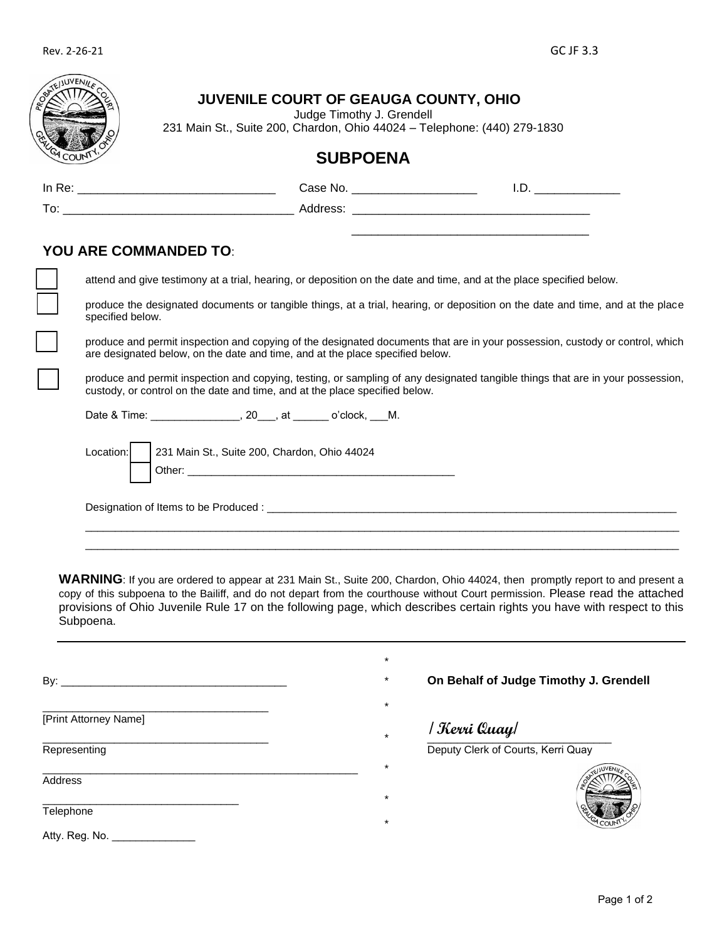|                              | <b>SUBPOENA</b>                                                                                                                                                                                               |  |  |  |  |  |
|------------------------------|---------------------------------------------------------------------------------------------------------------------------------------------------------------------------------------------------------------|--|--|--|--|--|
|                              |                                                                                                                                                                                                               |  |  |  |  |  |
|                              |                                                                                                                                                                                                               |  |  |  |  |  |
|                              |                                                                                                                                                                                                               |  |  |  |  |  |
| <b>YOU ARE COMMANDED TO:</b> |                                                                                                                                                                                                               |  |  |  |  |  |
|                              | attend and give testimony at a trial, hearing, or deposition on the date and time, and at the place specified below.                                                                                          |  |  |  |  |  |
| specified below.             | produce the designated documents or tangible things, at a trial, hearing, or deposition on the date and time, and at the place                                                                                |  |  |  |  |  |
|                              | produce and permit inspection and copying of the designated documents that are in your possession, custody or control, which<br>are designated below, on the date and time, and at the place specified below. |  |  |  |  |  |
|                              |                                                                                                                                                                                                               |  |  |  |  |  |
|                              | produce and permit inspection and copying, testing, or sampling of any designated tangible things that are in your possession,<br>custody, or control on the date and time, and at the place specified below. |  |  |  |  |  |
|                              |                                                                                                                                                                                                               |  |  |  |  |  |
|                              |                                                                                                                                                                                                               |  |  |  |  |  |
| Location:                    | 231 Main St., Suite 200, Chardon, Ohio 44024                                                                                                                                                                  |  |  |  |  |  |
|                              |                                                                                                                                                                                                               |  |  |  |  |  |

WARNING: If you are ordered to appear at 231 Main St., Suite 200, Chardon, Ohio 44024, then promptly report to and present a copy of this subpoena to the Bailiff, and do not depart from the courthouse without Court permission. Please read the attached provisions of Ohio Juvenile Rule 17 on the following page, which describes certain rights you have with respect to this Subpoena.

|                       | $^\star$                           |                                        |  |
|-----------------------|------------------------------------|----------------------------------------|--|
| By: $\_\_$            | $^\star$                           | On Behalf of Judge Timothy J. Grendell |  |
|                       | *                                  |                                        |  |
| [Print Attorney Name] | Kerri Quay <br>$\star$             |                                        |  |
| Representing          | Deputy Clerk of Courts, Kerri Quay |                                        |  |
|                       | *                                  |                                        |  |
| Address               | $\star$                            |                                        |  |
| Telephone             | $\star$                            |                                        |  |
| Atty. Reg. No.        |                                    |                                        |  |